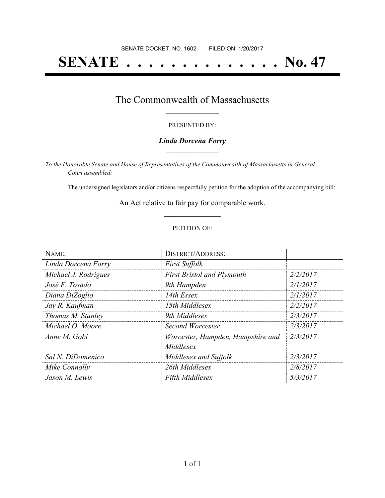# **SENATE . . . . . . . . . . . . . . No. 47**

### The Commonwealth of Massachusetts **\_\_\_\_\_\_\_\_\_\_\_\_\_\_\_\_\_**

#### PRESENTED BY:

#### *Linda Dorcena Forry* **\_\_\_\_\_\_\_\_\_\_\_\_\_\_\_\_\_**

*To the Honorable Senate and House of Representatives of the Commonwealth of Massachusetts in General Court assembled:*

The undersigned legislators and/or citizens respectfully petition for the adoption of the accompanying bill:

An Act relative to fair pay for comparable work. **\_\_\_\_\_\_\_\_\_\_\_\_\_\_\_**

#### PETITION OF:

| NAME:                | <b>DISTRICT/ADDRESS:</b>                       |          |
|----------------------|------------------------------------------------|----------|
| Linda Dorcena Forry  | <b>First Suffolk</b>                           |          |
| Michael J. Rodrigues | <b>First Bristol and Plymouth</b>              | 2/2/2017 |
| José F. Tosado       | 9th Hampden                                    | 2/1/2017 |
| Diana DiZoglio       | 14th Essex                                     | 2/1/2017 |
| Jay R. Kaufman       | 15th Middlesex                                 | 2/2/2017 |
| Thomas M. Stanley    | 9th Middlesex                                  | 2/3/2017 |
| Michael O. Moore     | Second Worcester                               | 2/3/2017 |
| Anne M. Gobi         | Worcester, Hampden, Hampshire and<br>Middlesex | 2/3/2017 |
| Sal N. DiDomenico    | Middlesex and Suffolk                          | 2/3/2017 |
| Mike Connolly        | 26th Middlesex                                 | 2/8/2017 |
| Jason M. Lewis       | <b>Fifth Middlesex</b>                         | 5/3/2017 |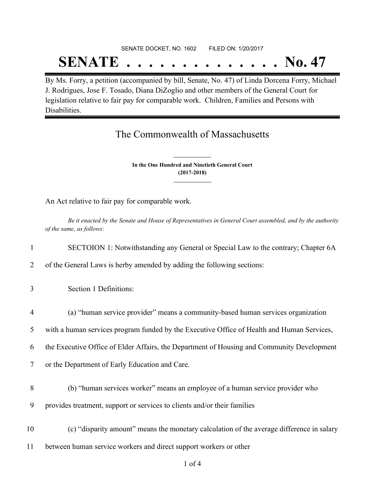# SENATE DOCKET, NO. 1602 FILED ON: 1/20/2017 **SENATE . . . . . . . . . . . . . . No. 47**

By Ms. Forry, a petition (accompanied by bill, Senate, No. 47) of Linda Dorcena Forry, Michael J. Rodrigues, Jose F. Tosado, Diana DiZoglio and other members of the General Court for legislation relative to fair pay for comparable work. Children, Families and Persons with Disabilities.

## The Commonwealth of Massachusetts

**In the One Hundred and Ninetieth General Court (2017-2018) \_\_\_\_\_\_\_\_\_\_\_\_\_\_\_**

**\_\_\_\_\_\_\_\_\_\_\_\_\_\_\_**

An Act relative to fair pay for comparable work.

Be it enacted by the Senate and House of Representatives in General Court assembled, and by the authority *of the same, as follows:*

- 1 SECTOION 1: Notwithstanding any General or Special Law to the contrary; Chapter 6A
- 2 of the General Laws is herby amended by adding the following sections:
- 3 Section 1 Definitions:
- 4 (a) "human service provider" means a community-based human services organization
- 5 with a human services program funded by the Executive Office of Health and Human Services,
- 6 the Executive Office of Elder Affairs, the Department of Housing and Community Development
- 7 or the Department of Early Education and Care.
- 8 (b) "human services worker" means an employee of a human service provider who
- 9 provides treatment, support or services to clients and/or their families
- 10 (c) "disparity amount" means the monetary calculation of the average difference in salary
- 11 between human service workers and direct support workers or other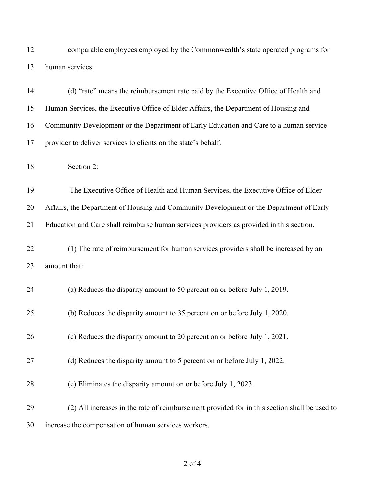comparable employees employed by the Commonwealth's state operated programs for human services.

| 14 | (d) "rate" means the reimbursement rate paid by the Executive Office of Health and           |
|----|----------------------------------------------------------------------------------------------|
| 15 | Human Services, the Executive Office of Elder Affairs, the Department of Housing and         |
| 16 | Community Development or the Department of Early Education and Care to a human service       |
| 17 | provider to deliver services to clients on the state's behalf.                               |
| 18 | Section 2:                                                                                   |
| 19 | The Executive Office of Health and Human Services, the Executive Office of Elder             |
| 20 | Affairs, the Department of Housing and Community Development or the Department of Early      |
| 21 | Education and Care shall reimburse human services providers as provided in this section.     |
| 22 | (1) The rate of reimbursement for human services providers shall be increased by an          |
| 23 | amount that:                                                                                 |
| 24 | (a) Reduces the disparity amount to 50 percent on or before July 1, 2019.                    |
| 25 | (b) Reduces the disparity amount to 35 percent on or before July 1, 2020.                    |
| 26 | (c) Reduces the disparity amount to 20 percent on or before July 1, 2021.                    |
| 27 | (d) Reduces the disparity amount to 5 percent on or before July 1, 2022.                     |
| 28 | (e) Eliminates the disparity amount on or before July 1, 2023.                               |
| 29 | (2) All increases in the rate of reimbursement provided for in this section shall be used to |
| 30 | increase the compensation of human services workers.                                         |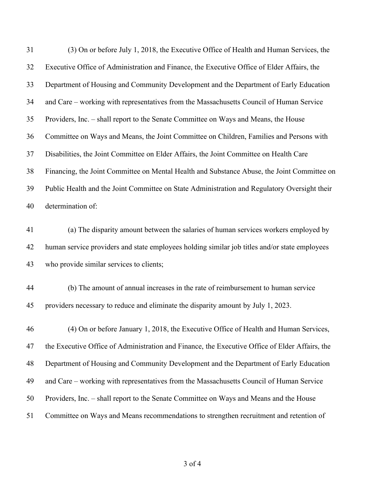| 31 | (3) On or before July 1, 2018, the Executive Office of Health and Human Services, the          |
|----|------------------------------------------------------------------------------------------------|
| 32 | Executive Office of Administration and Finance, the Executive Office of Elder Affairs, the     |
| 33 | Department of Housing and Community Development and the Department of Early Education          |
| 34 | and Care – working with representatives from the Massachusetts Council of Human Service        |
| 35 | Providers, Inc. – shall report to the Senate Committee on Ways and Means, the House            |
| 36 | Committee on Ways and Means, the Joint Committee on Children, Families and Persons with        |
| 37 | Disabilities, the Joint Committee on Elder Affairs, the Joint Committee on Health Care         |
| 38 | Financing, the Joint Committee on Mental Health and Substance Abuse, the Joint Committee on    |
| 39 | Public Health and the Joint Committee on State Administration and Regulatory Oversight their   |
| 40 | determination of:                                                                              |
| 41 | (a) The disparity amount between the salaries of human services workers employed by            |
| 42 | human service providers and state employees holding similar job titles and/or state employees  |
| 43 | who provide similar services to clients;                                                       |
| 44 | (b) The amount of annual increases in the rate of reimbursement to human service               |
| 45 | providers necessary to reduce and eliminate the disparity amount by July 1, 2023.              |
| 46 | (4) On or before January 1, 2018, the Executive Office of Health and Human Services,           |
| 47 | the Executive Office of Administration and Finance, the Executive Office of Elder Affairs, the |
| 48 | Department of Housing and Community Development and the Department of Early Education          |
| 49 | and Care – working with representatives from the Massachusetts Council of Human Service        |
| 50 | Providers, Inc. – shall report to the Senate Committee on Ways and Means and the House         |
| 51 | Committee on Ways and Means recommendations to strengthen recruitment and retention of         |
|    |                                                                                                |

of 4